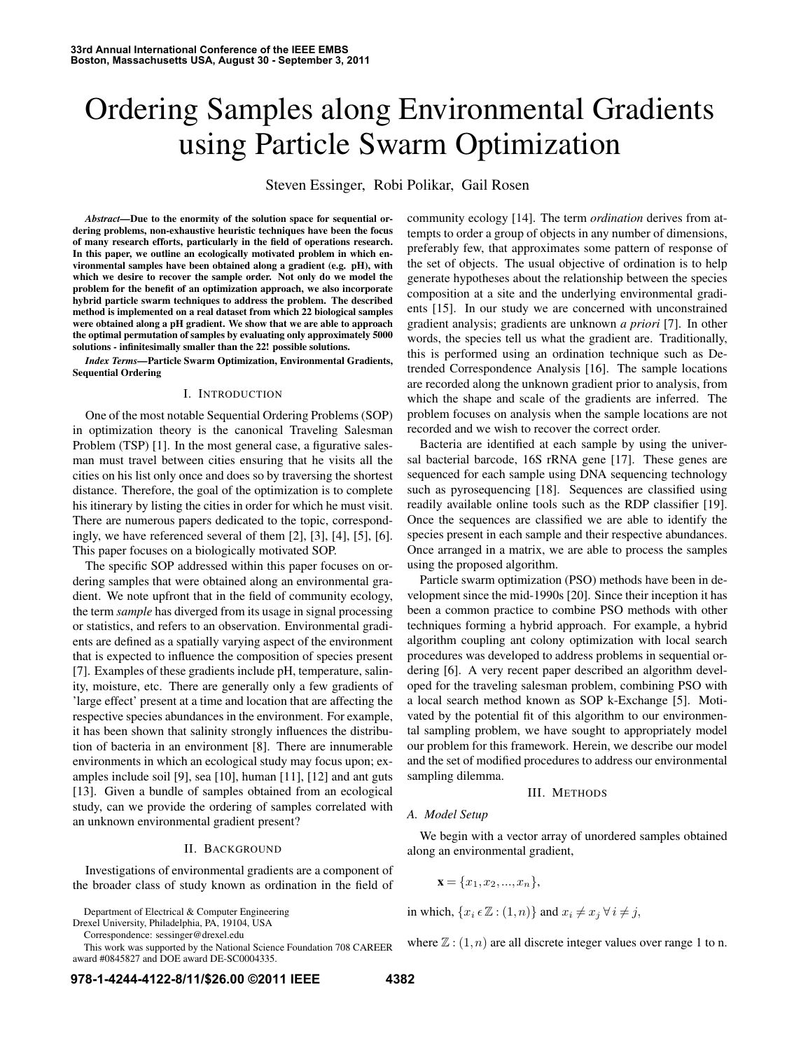# Ordering Samples along Environmental Gradients using Particle Swarm Optimization

Steven Essinger, Robi Polikar, Gail Rosen

*Abstract—*Due to the enormity of the solution space for sequential ordering problems, non-exhaustive heuristic techniques have been the focus of many research efforts, particularly in the field of operations research. In this paper, we outline an ecologically motivated problem in which environmental samples have been obtained along a gradient (e.g. pH), with which we desire to recover the sample order. Not only do we model the problem for the benefit of an optimization approach, we also incorporate hybrid particle swarm techniques to address the problem. The described method is implemented on a real dataset from which 22 biological samples were obtained along a pH gradient. We show that we are able to approach the optimal permutation of samples by evaluating only approximately 5000 solutions - infinitesimally smaller than the 22! possible solutions.

*Index Terms—*Particle Swarm Optimization, Environmental Gradients, Sequential Ordering

### I. INTRODUCTION

One of the most notable Sequential Ordering Problems (SOP) in optimization theory is the canonical Traveling Salesman Problem (TSP) [1]. In the most general case, a figurative salesman must travel between cities ensuring that he visits all the cities on his list only once and does so by traversing the shortest distance. Therefore, the goal of the optimization is to complete his itinerary by listing the cities in order for which he must visit. There are numerous papers dedicated to the topic, correspondingly, we have referenced several of them [2], [3], [4], [5], [6]. This paper focuses on a biologically motivated SOP.

The specific SOP addressed within this paper focuses on ordering samples that were obtained along an environmental gradient. We note upfront that in the field of community ecology, the term *sample* has diverged from its usage in signal processing or statistics, and refers to an observation. Environmental gradients are defined as a spatially varying aspect of the environment that is expected to influence the composition of species present [7]. Examples of these gradients include pH, temperature, salinity, moisture, etc. There are generally only a few gradients of 'large effect' present at a time and location that are affecting the respective species abundances in the environment. For example, it has been shown that salinity strongly influences the distribution of bacteria in an environment [8]. There are innumerable environments in which an ecological study may focus upon; examples include soil [9], sea [10], human [11], [12] and ant guts [13]. Given a bundle of samples obtained from an ecological study, can we provide the ordering of samples correlated with an unknown environmental gradient present?

### II. BACKGROUND

Investigations of environmental gradients are a component of the broader class of study known as ordination in the field of

Department of Electrical & Computer Engineering

Drexel University, Philadelphia, PA, 19104, USA

Correspondence: sessinger@drexel.edu

This work was supported by the National Science Foundation 708 CAREER award #0845827 and DOE award DE-SC0004335.

community ecology [14]. The term *ordination* derives from attempts to order a group of objects in any number of dimensions, preferably few, that approximates some pattern of response of the set of objects. The usual objective of ordination is to help generate hypotheses about the relationship between the species composition at a site and the underlying environmental gradients [15]. In our study we are concerned with unconstrained gradient analysis; gradients are unknown *a priori* [7]. In other words, the species tell us what the gradient are. Traditionally, this is performed using an ordination technique such as Detrended Correspondence Analysis [16]. The sample locations are recorded along the unknown gradient prior to analysis, from which the shape and scale of the gradients are inferred. The problem focuses on analysis when the sample locations are not recorded and we wish to recover the correct order.

Bacteria are identified at each sample by using the universal bacterial barcode, 16S rRNA gene [17]. These genes are sequenced for each sample using DNA sequencing technology such as pyrosequencing [18]. Sequences are classified using readily available online tools such as the RDP classifier [19]. Once the sequences are classified we are able to identify the species present in each sample and their respective abundances. Once arranged in a matrix, we are able to process the samples using the proposed algorithm.

Particle swarm optimization (PSO) methods have been in development since the mid-1990s [20]. Since their inception it has been a common practice to combine PSO methods with other techniques forming a hybrid approach. For example, a hybrid algorithm coupling ant colony optimization with local search procedures was developed to address problems in sequential ordering [6]. A very recent paper described an algorithm developed for the traveling salesman problem, combining PSO with a local search method known as SOP k-Exchange [5]. Motivated by the potential fit of this algorithm to our environmental sampling problem, we have sought to appropriately model our problem for this framework. Herein, we describe our model and the set of modified procedures to address our environmental sampling dilemma.

### III. METHODS

### *A. Model Setup*

We begin with a vector array of unordered samples obtained along an environmental gradient,

$$
\mathbf{x} = \{x_1, x_2, \dots, x_n\},\
$$

in which,  $\{x_i \in \mathbb{Z} : (1, n)\}\$  and  $x_i \neq x_j \ \forall \ i \neq j$ ,

where  $\mathbb{Z}$  :  $(1, n)$  are all discrete integer values over range 1 to n.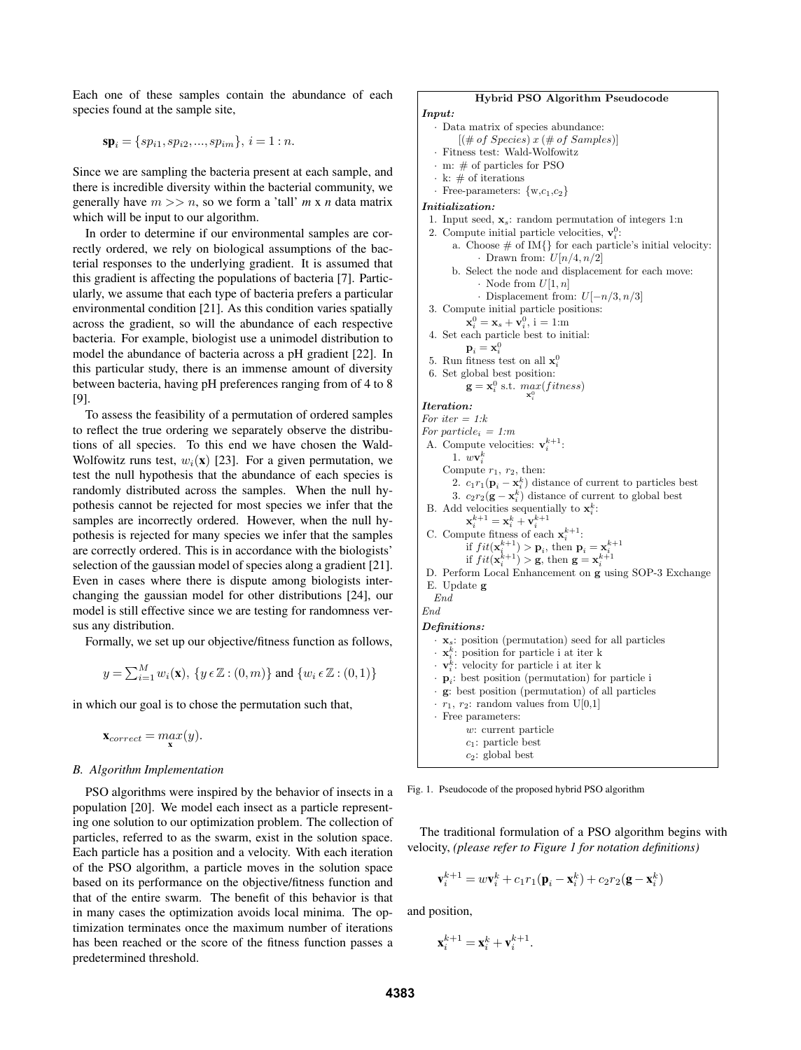Each one of these samples contain the abundance of each species found at the sample site,

$$
\mathbf{sp}_i = \{sp_{i1}, sp_{i2}, ..., sp_{im}\}, i = 1 : n.
$$

Since we are sampling the bacteria present at each sample, and there is incredible diversity within the bacterial community, we generally have  $m \gg n$ , so we form a 'tall'  $m \times n$  data matrix which will be input to our algorithm.

In order to determine if our environmental samples are correctly ordered, we rely on biological assumptions of the bacterial responses to the underlying gradient. It is assumed that this gradient is affecting the populations of bacteria [7]. Particularly, we assume that each type of bacteria prefers a particular environmental condition [21]. As this condition varies spatially across the gradient, so will the abundance of each respective bacteria. For example, biologist use a unimodel distribution to model the abundance of bacteria across a pH gradient [22]. In this particular study, there is an immense amount of diversity between bacteria, having pH preferences ranging from of 4 to 8 [9].

To assess the feasibility of a permutation of ordered samples to reflect the true ordering we separately observe the distributions of all species. To this end we have chosen the Wald-Wolfowitz runs test,  $w_i(\mathbf{x})$  [23]. For a given permutation, we test the null hypothesis that the abundance of each species is randomly distributed across the samples. When the null hypothesis cannot be rejected for most species we infer that the samples are incorrectly ordered. However, when the null hypothesis is rejected for many species we infer that the samples are correctly ordered. This is in accordance with the biologists' selection of the gaussian model of species along a gradient [21]. Even in cases where there is dispute among biologists interchanging the gaussian model for other distributions [24], our model is still effective since we are testing for randomness versus any distribution.

Formally, we set up our objective/fitness function as follows,

$$
y = \sum_{i=1}^{M} w_i(\mathbf{x}), \{ y \in \mathbb{Z} : (0, m) \} \text{ and } \{ w_i \in \mathbb{Z} : (0, 1) \}
$$

in which our goal is to chose the permutation such that,

```
\mathbf{x}_{correct} = max(y).
```
# *B. Algorithm Implementation*

PSO algorithms were inspired by the behavior of insects in a population [20]. We model each insect as a particle representing one solution to our optimization problem. The collection of particles, referred to as the swarm, exist in the solution space. Each particle has a position and a velocity. With each iteration of the PSO algorithm, a particle moves in the solution space based on its performance on the objective/fitness function and that of the entire swarm. The benefit of this behavior is that in many cases the optimization avoids local minima. The optimization terminates once the maximum number of iterations has been reached or the score of the fitness function passes a predetermined threshold.

# Hybrid PSO Algorithm Pseudocode

```
Input:
```
- Data matrix of species abundance:  $[(# of Species) x (\# of Samples)]$ Fitness test: Wald-Wolfowitz m:  $\#$  of particles for PSO k:  $\#$  of iterations
- Free-parameters:  $\{w, c_1, c_2\}$

```
Initialization:
```
- 1. Input seed,  $\mathbf{x}_s$ : random permutation of integers 1:n
- 2. Compute initial particle velocities,  $\mathbf{v}_i^0$ :
	- a. Choose  $#$  of IM $\{\}$  for each particle's initial velocity: • Drawn from:  $U[n/4, n/2]$ 
		- b. Select the node and displacement for each move: · Node from  $U[1, n]$
	- Displacement from:  $U[-n/3, n/3]$
- 3. Compute initial particle positions:

i

- $\mathbf{x}_i^0 = \mathbf{x}_s + \mathbf{v}_i^0$ , i = 1:m
- 4. Set each particle best to initial:
- $\mathbf{p}_i = \mathbf{x}_i^0$
- 5. Run fitness test on all  $\mathbf{x}_i^0$
- 6. Set global best position:  $\mathbf{g} = \mathbf{x}_i^0$  s.t.  $max(fitness)$  $\mathbf{x}_i^0$

Iteration:

For iter  $= 1:k$ 

- For particle<sub>i</sub> = 1:m A. Compute velocities:  $\mathbf{v}_i^{k+1}$ . 1.  $w\mathbf{v}_i^k$ Compute  $r_1$ ,  $r_2$ , then: 2.  $c_1 r_1 (\mathbf{p}_i - \mathbf{x}_i^k)$  distance of current to particles best 3.  $c_2r_2(\mathbf{g} - \mathbf{x}_i^k)$  distance of current to global best B. Add velocities sequentially to  $\mathbf{x}_i^k$ :  $\mathbf{x}_i^{k+1} = \mathbf{x}_i^k + \mathbf{v}_i^{k+1}$ C. Compute fitness of each  $\mathbf{x}_{i}^{k+1}$ : if  $fit(\mathbf{x}_i^{k+1}) > \mathbf{p}_i$ , then  $\mathbf{p}_i = \mathbf{x}_i^{k+1}$ <br>if  $fit(\mathbf{x}_i^{k+1}) > \mathbf{g}$ , then  $\mathbf{g} = \mathbf{x}_i^{k+1}$ D. Perform Local Enhancement on g using SOP-3 Exchange E. Update g End End Definitions:  $\cdot$  **x**<sub>s</sub>: position (permutation) seed for all particles  $\cdot$   $\mathbf{x}_i^k$ : position for particle i at iter k  $\mathbf{v}_i^k$ : velocity for particle i at iter k  $\cdot$  **p**<sub>i</sub>: best position (permutation) for particle i · g: best position (permutation) of all particles  $\cdot$   $r_1$ ,  $r_2$ : random values from U[0,1]
	- · Free parameters:
		- w: current particle
	- $c_1$ : particle best  $c_2$ : global best

Fig. 1. Pseudocode of the proposed hybrid PSO algorithm

1 velocity, *(please refer to Figure 1 for notation definitions)* The traditional formulation of a PSO algorithm begins with

$$
\mathbf{v}_i^{k+1} = w\mathbf{v}_i^k + c_1r_1(\mathbf{p}_i - \mathbf{x}_i^k) + c_2r_2(\mathbf{g} - \mathbf{x}_i^k)
$$

.

and position,

$$
\mathbf{x}_i^{k+1} = \mathbf{x}_i^k + \mathbf{v}_i^{k+1}
$$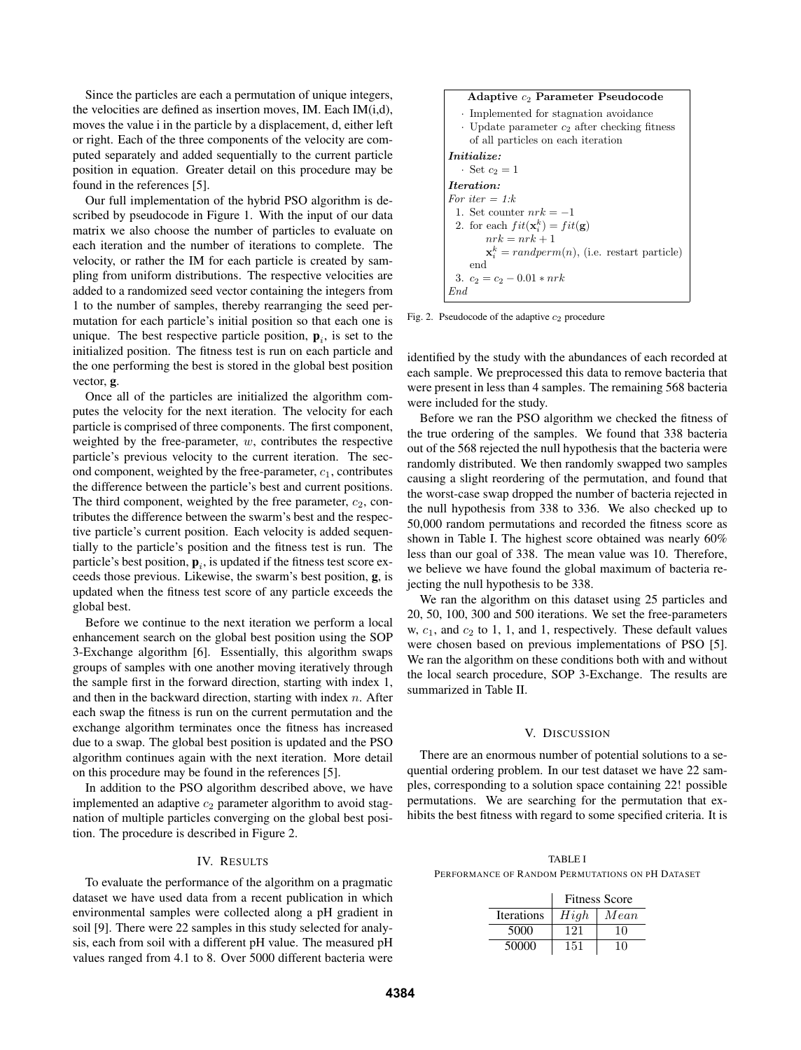Since the particles are each a permutation of unique integers, the velocities are defined as insertion moves, IM. Each IM(i,d), moves the value i in the particle by a displacement, d, either left or right. Each of the three components of the velocity are computed separately and added sequentially to the current particle position in equation. Greater detail on this procedure may be found in the references [5].

Our full implementation of the hybrid PSO algorithm is described by pseudocode in Figure 1. With the input of our data matrix we also choose the number of particles to evaluate on each iteration and the number of iterations to complete. The velocity, or rather the IM for each particle is created by sampling from uniform distributions. The respective velocities are added to a randomized seed vector containing the integers from 1 to the number of samples, thereby rearranging the seed permutation for each particle's initial position so that each one is unique. The best respective particle position,  $\mathbf{p}_i$ , is set to the initialized position. The fitness test is run on each particle and the one performing the best is stored in the global best position vector, g.

Once all of the particles are initialized the algorithm computes the velocity for the next iteration. The velocity for each particle is comprised of three components. The first component, weighted by the free-parameter,  $w$ , contributes the respective particle's previous velocity to the current iteration. The second component, weighted by the free-parameter,  $c_1$ , contributes the difference between the particle's best and current positions. The third component, weighted by the free parameter,  $c_2$ , contributes the difference between the swarm's best and the respective particle's current position. Each velocity is added sequentially to the particle's position and the fitness test is run. The particle's best position,  $\mathbf{p}_i$ , is updated if the fitness test score exceeds those previous. Likewise, the swarm's best position, g, is updated when the fitness test score of any particle exceeds the global best.

Before we continue to the next iteration we perform a local enhancement search on the global best position using the SOP 3-Exchange algorithm [6]. Essentially, this algorithm swaps groups of samples with one another moving iteratively through the sample first in the forward direction, starting with index 1, and then in the backward direction, starting with index  $n$ . After each swap the fitness is run on the current permutation and the exchange algorithm terminates once the fitness has increased due to a swap. The global best position is updated and the PSO algorithm continues again with the next iteration. More detail on this procedure may be found in the references [5].

In addition to the PSO algorithm described above, we have implemented an adaptive  $c_2$  parameter algorithm to avoid stagnation of multiple particles converging on the global best position. The procedure is described in Figure 2.

## IV. RESULTS

To evaluate the performance of the algorithm on a pragmatic dataset we have used data from a recent publication in which environmental samples were collected along a pH gradient in soil [9]. There were 22 samples in this study selected for analysis, each from soil with a different pH value. The measured pH values ranged from 4.1 to 8. Over 5000 different bacteria were



Fig. 2. Pseudocode of the adaptive  $c_2$  procedure

identified by the study with the abundances of each recorded at each sample. We preprocessed this data to remove bacteria that were present in less than 4 samples. The remaining 568 bacteria were included for the study.

Before we ran the PSO algorithm we checked the fitness of the true ordering of the samples. We found that 338 bacteria out of the 568 rejected the null hypothesis that the bacteria were randomly distributed. We then randomly swapped two samples causing a slight reordering of the permutation, and found that the worst-case swap dropped the number of bacteria rejected in the null hypothesis from 338 to 336. We also checked up to 50,000 random permutations and recorded the fitness score as shown in Table I. The highest score obtained was nearly 60% less than our goal of 338. The mean value was 10. Therefore, we believe we have found the global maximum of bacteria rejecting the null hypothesis to be 338.

We ran the algorithm on this dataset using 25 particles and 20, 50, 100, 300 and 500 iterations. We set the free-parameters w,  $c_1$ , and  $c_2$  to 1, 1, and 1, respectively. These default values were chosen based on previous implementations of PSO [5]. We ran the algorithm on these conditions both with and without the local search procedure, SOP 3-Exchange. The results are summarized in Table II.

# V. DISCUSSION

There are an enormous number of potential solutions to a sequential ordering problem. In our test dataset we have 22 samples, corresponding to a solution space containing 22! possible permutations. We are searching for the permutation that exhibits the best fitness with regard to some specified criteria. It is

TABLE I PERFORMANCE OF RANDOM PERMUTATIONS ON PH DATASET

|            | <b>Fitness Score</b> |      |
|------------|----------------------|------|
| Iterations | High                 | Mean |
| 5000       | 121                  | 10   |
| 50000      | 151                  | 10   |